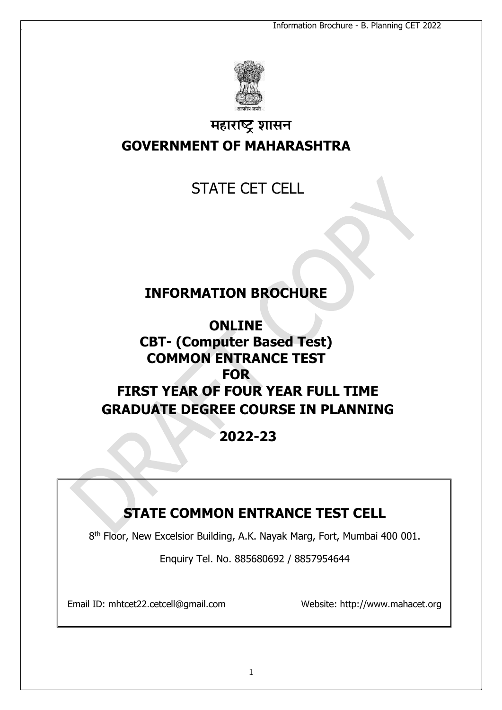

# महाराष्ट्र शासन **GOVERNMENT OF MAHARASHTRA**

# STATE CET CELL

## **INFORMATION BROCHURE**

## **ONLINE CBT- (Computer Based Test) COMMON ENTRANCE TEST FOR FIRST YEAR OF FOUR YEAR FULL TIME GRADUATE DEGREE COURSE IN PLANNING**

## **2022-23**

# **STATE COMMON ENTRANCE TEST CELL**

8<sup>th</sup> Floor, New Excelsior Building, A.K. Nayak Marg, Fort, Mumbai 400 001.

Enquiry Tel. No. 885680692 / 8857954644

Email ID: [mhtcet22.cetcell@gmail.com](mailto:maharashtra.cetcell@gmail.com) Website: [http://www.mahacet.org](http://www.mahacet.org/)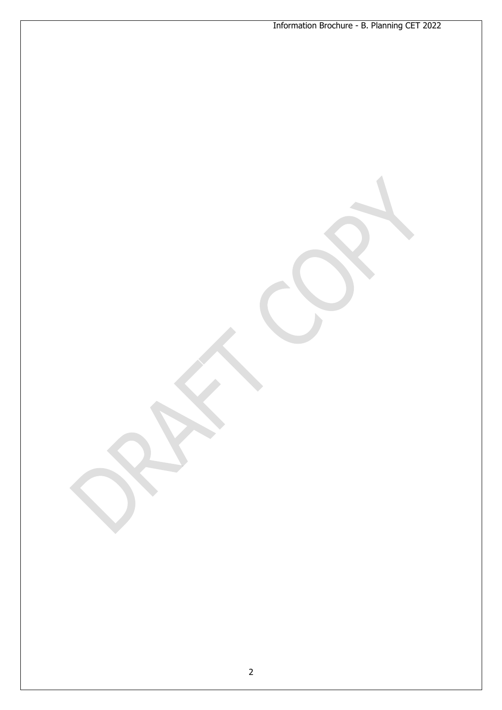2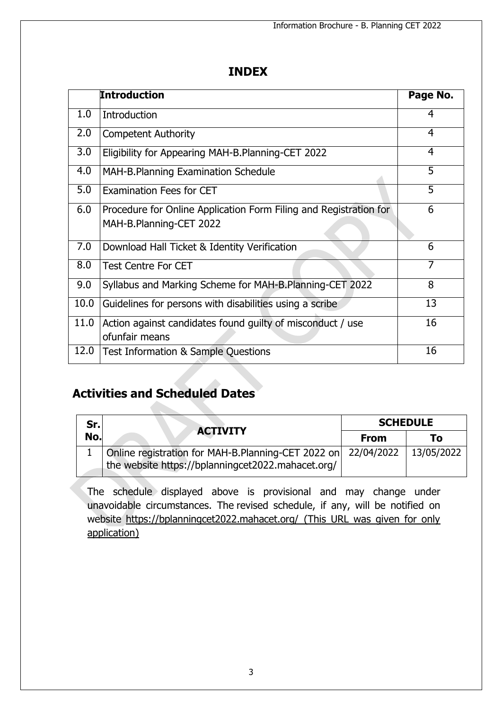|      | <b>Introduction</b>                                                                          | Page No. |
|------|----------------------------------------------------------------------------------------------|----------|
| 1.0  | Introduction                                                                                 | 4        |
| 2.0  | <b>Competent Authority</b>                                                                   | 4        |
| 3.0  | Eligibility for Appearing MAH-B.Planning-CET 2022                                            | 4        |
| 4.0  | <b>MAH-B.Planning Examination Schedule</b>                                                   | 5        |
| 5.0  | <b>Examination Fees for CET</b>                                                              | 5        |
| 6.0  | Procedure for Online Application Form Filing and Registration for<br>MAH-B.Planning-CET 2022 | 6        |
| 7.0  | Download Hall Ticket & Identity Verification                                                 | 6        |
| 8.0  | <b>Test Centre For CET</b>                                                                   | 7        |
| 9.0  | Syllabus and Marking Scheme for MAH-B.Planning-CET 2022                                      | 8        |
| 10.0 | Guidelines for persons with disabilities using a scribe                                      | 13       |
| 11.0 | Action against candidates found guilty of misconduct / use<br>ofunfair means                 | 16       |
| 12.0 | Test Information & Sample Questions                                                          | 16       |

## **Activities and Scheduled Dates**

| Sr. | <b>ACTIVITY</b>                                               | <b>SCHEDULE</b> |            |  |
|-----|---------------------------------------------------------------|-----------------|------------|--|
| No. |                                                               | <b>From</b>     | Tο         |  |
|     | Online registration for MAH-B.Planning-CET 2022 on 22/04/2022 |                 | 13/05/2022 |  |
|     | the website https://bplanningcet2022.mahacet.org/             |                 |            |  |

The schedule displayed above is provisional and may change under unavoidable circumstances. The revised schedule, if any, will be notified on website [https://bplanningcet2022.mahacet.org/](https://bhmct2022.mahacet.org/) (This URL was given for only application)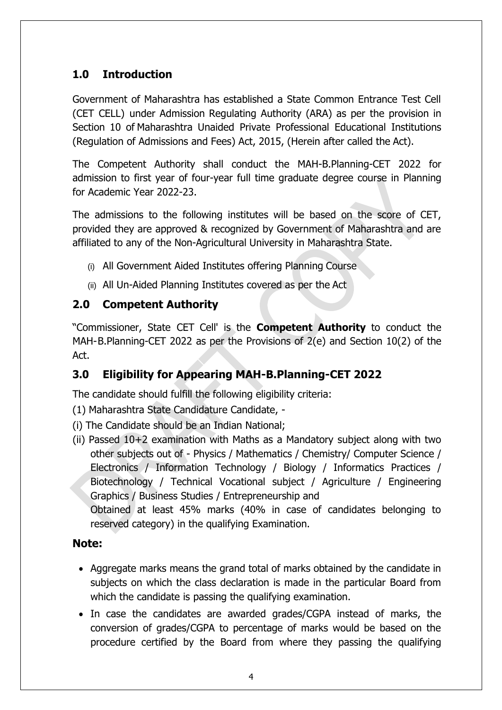## **1.0 Introduction**

Government of Maharashtra has established a State Common Entrance Test Cell (CET CELL) under Admission Regulating Authority (ARA) as per the provision in Section 10 of Maharashtra Unaided Private Professional Educational Institutions (Regulation of Admissions and Fees) Act, 2015, (Herein after called the Act).

The Competent Authority shall conduct the MAH-B.Planning-CET 2022 for admission to first year of four-year full time graduate degree course in Planning for Academic Year 2022-23.

The admissions to the following institutes will be based on the score of CET, provided they are approved & recognized by Government of Maharashtra and are affiliated to any of the Non-Agricultural University in Maharashtra State.

- (i) All Government Aided Institutes offering Planning Course
- (ii) All Un-Aided Planning Institutes covered as per the Act

## **2.0 Competent Authority**

"Commissioner, State CET Cell' is the **Competent Authority** to conduct the MAH-B.Planning-CET 2022 as per the Provisions of 2(e) and Section 10(2) of the Act.

## **3.0 Eligibility for Appearing MAH-B.Planning-CET 2022**

The candidate should fulfill the following eligibility criteria:

- (1) Maharashtra State Candidature Candidate, -
- (i) The Candidate should be an Indian National;
- (ii) Passed 10+2 examination with Maths as a Mandatory subject along with two other subjects out of - Physics / Mathematics / Chemistry/ Computer Science / Electronics / Information Technology / Biology / Informatics Practices / Biotechnology / Technical Vocational subject / Agriculture / Engineering Graphics / Business Studies / Entrepreneurship and

Obtained at least 45% marks (40% in case of candidates belonging to reserved category) in the qualifying Examination.

## **Note:**

- Aggregate marks means the grand total of marks obtained by the candidate in subjects on which the class declaration is made in the particular Board from which the candidate is passing the qualifying examination.
- In case the candidates are awarded grades/CGPA instead of marks, the conversion of grades/CGPA to percentage of marks would be based on the procedure certified by the Board from where they passing the qualifying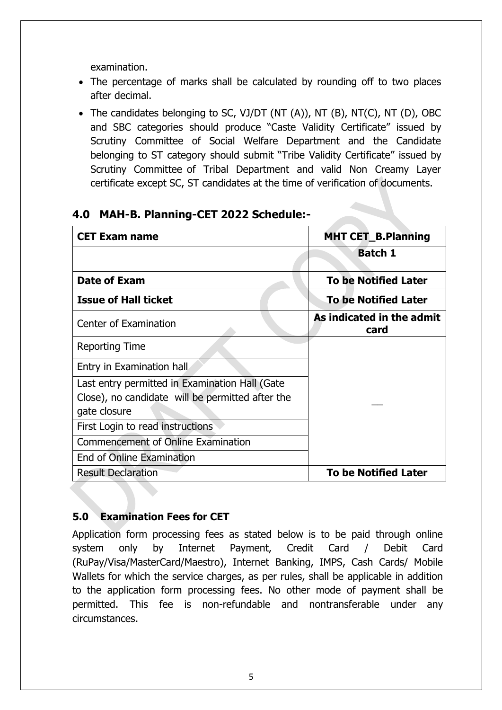examination.

- The percentage of marks shall be calculated by rounding off to two places after decimal.
- The candidates belonging to SC, VJ/DT (NT (A)), NT (B), NT(C), NT (D), OBC and SBC categories should produce "Caste Validity Certificate" issued by Scrutiny Committee of Social Welfare Department and the Candidate belonging to ST category should submit "Tribe Validity Certificate" issued by Scrutiny Committee of Tribal Department and valid Non Creamy Layer certificate except SC, ST candidates at the time of verification of documents.

## **4.0 MAH-B. Planning-CET 2022 Schedule:-**

| <b>CET Exam name</b>                                                                               | <b>MHT CET_B.Planning</b>         |
|----------------------------------------------------------------------------------------------------|-----------------------------------|
|                                                                                                    | <b>Batch 1</b>                    |
| Date of Exam                                                                                       | <b>To be Notified Later</b>       |
| <b>Issue of Hall ticket</b>                                                                        | <b>To be Notified Later</b>       |
| Center of Examination                                                                              | As indicated in the admit<br>card |
| Reporting Time                                                                                     |                                   |
| Entry in Examination hall                                                                          |                                   |
| Last entry permitted in Examination Hall (Gate<br>Close), no candidate will be permitted after the |                                   |
| gate closure<br>First Login to read instructions                                                   |                                   |
| <b>Commencement of Online Examination</b>                                                          |                                   |
| End of Online Examination                                                                          |                                   |
| <b>Result Declaration</b>                                                                          | <b>To be Notified Later</b>       |

## **5.0 Examination Fees for CET**

Application form processing fees as stated below is to be paid through online system only by Internet Payment, Credit Card / Debit Card (RuPay/Visa/MasterCard/Maestro), Internet Banking, IMPS, Cash Cards/ Mobile Wallets for which the service charges, as per rules, shall be applicable in addition to the application form processing fees. No other mode of payment shall be permitted. This fee is non-refundable and nontransferable under any circumstances.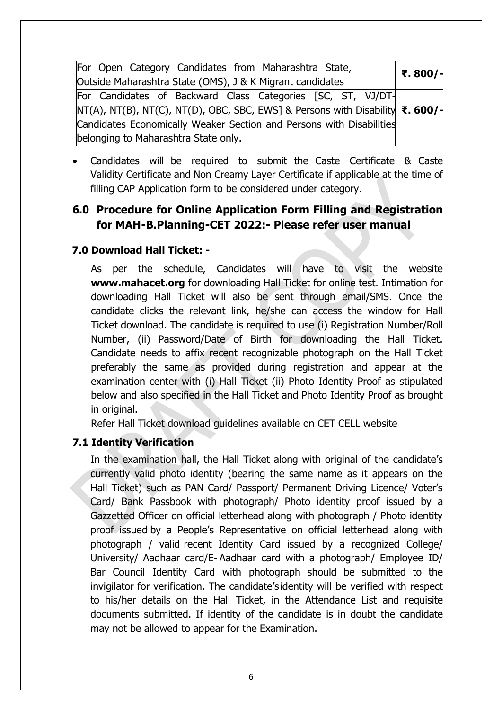| For Open Category Candidates from Maharashtra State,                                              | ₹.800/- |  |  |
|---------------------------------------------------------------------------------------------------|---------|--|--|
| Outside Maharashtra State (OMS), J & K Migrant candidates                                         |         |  |  |
| For Candidates of Backward Class Categories [SC, ST, VJ/DT-                                       |         |  |  |
| $NT(A)$ , NT(B), NT(C), NT(D), OBC, SBC, EWS] & Persons with Disability $\overline{\tau}$ . 600/- |         |  |  |
| Candidates Economically Weaker Section and Persons with Disabilities                              |         |  |  |
| belonging to Maharashtra State only.                                                              |         |  |  |

 Candidates will be required to submit the Caste Certificate & Caste Validity Certificate and Non Creamy Layer Certificate if applicable at the time of filling CAP Application form to be considered under category.

## **6.0 Procedure for Online Application Form Filling and Registration for MAH-B.Planning-CET 2022:- Please refer user manual**

### **7.0 Download Hall Ticket: -**

As per the schedule, Candidates will have to visit the website **www.mahacet.org** for downloading Hall Ticket for online test. Intimation for downloading Hall Ticket will also be sent through email/SMS. Once the candidate clicks the relevant link, he/she can access the window for Hall Ticket download. The candidate is required to use (i) Registration Number/Roll Number, (ii) Password/Date of Birth for downloading the Hall Ticket. Candidate needs to affix recent recognizable photograph on the Hall Ticket preferably the same as provided during registration and appear at the examination center with (i) Hall Ticket (ii) Photo Identity Proof as stipulated below and also specified in the Hall Ticket and Photo Identity Proof as brought in original.

Refer Hall Ticket download guidelines available on CET CELL website

#### **7.1 Identity Verification**

In the examination hall, the Hall Ticket along with original of the candidate's currently valid photo identity (bearing the same name as it appears on the Hall Ticket) such as PAN Card/ Passport/ Permanent Driving Licence/ Voter's Card/ Bank Passbook with photograph/ Photo identity proof issued by a Gazzetted Officer on official letterhead along with photograph / Photo identity proof issued by a People's Representative on official letterhead along with photograph / valid recent Identity Card issued by a recognized College/ University/ Aadhaar card/E- Aadhaar card with a photograph/ Employee ID/ Bar Council Identity Card with photograph should be submitted to the invigilator for verification. The candidate'sidentity will be verified with respect to his/her details on the Hall Ticket, in the Attendance List and requisite documents submitted. If identity of the candidate is in doubt the candidate may not be allowed to appear for the Examination.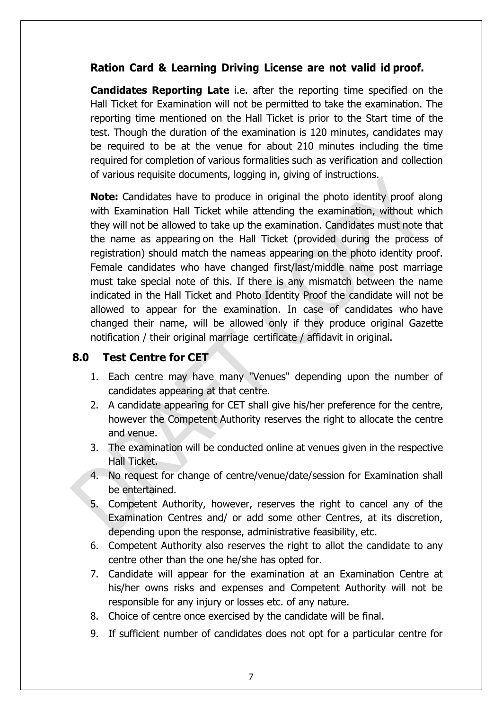## **Ration Card & Learning Driving License are not valid id proof.**

**Candidates Reporting Late** i.e. after the reporting time specified on the Hall Ticket for Examination will not be permitted to take the examination. The reporting time mentioned on the Hall Ticket is prior to the Start time of the test. Though the duration of the examination is 120 minutes, candidates may be required to be at the venue for about 210 minutes including the time required for completion of various formalities such as verification and collection of various requisite documents, logging in, giving of instructions.

**Note:** Candidates have to produce in original the photo identity proof along with Examination Hall Ticket while attending the examination, without which they will not be allowed to take up the examination. Candidates must note that the name as appearing on the Hall Ticket (provided during the process of registration) should match the nameas appearing on the photo identity proof. Female candidates who have changed first/last/middle name post marriage must take special note of this. If there is any mismatch between the name indicated in the Hall Ticket and Photo Identity Proof the candidate will not be allowed to appear for the examination. In case of candidates who have changed their name, will be allowed only if they produce original Gazette notification / their original marriage certificate / affidavit in original.

## **8.0 Test Centre for CET**

- 1. Each centre may have many "Venues" depending upon the number of candidates appearing at that centre.
- 2. A candidate appearing for CET shall give his/her preference for the centre, however the Competent Authority reserves the right to allocate the centre and venue.
- 3. The examination will be conducted online at venues given in the respective Hall Ticket.
- 4. No request for change of centre/venue/date/session for Examination shall be entertained.
- 5. Competent Authority, however, reserves the right to cancel any of the Examination Centres and/ or add some other Centres, at its discretion, depending upon the response, administrative feasibility, etc.
- 6. Competent Authority also reserves the right to allot the candidate to any centre other than the one he/she has opted for.
- 7. Candidate will appear for the examination at an Examination Centre at his/her owns risks and expenses and Competent Authority will not be responsible for any injury or losses etc. of any nature.
- 8. Choice of centre once exercised by the candidate will be final.
- 9. If sufficient number of candidates does not opt for a particular centre for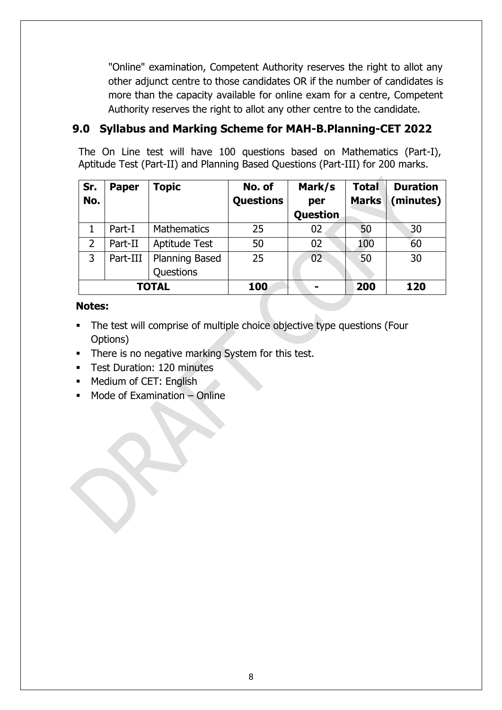"Online" examination, Competent Authority reserves the right to allot any other adjunct centre to those candidates OR if the number of candidates is more than the capacity available for online exam for a centre, Competent Authority reserves the right to allot any other centre to the candidate.

## **9.0 Syllabus and Marking Scheme for MAH-B.Planning-CET 2022**

The On Line test will have 100 questions based on Mathematics (Part-I), Aptitude Test (Part-II) and Planning Based Questions (Part-III) for 200 marks.

| Sr.<br>No.    | <b>Paper</b> | <b>Topic</b>          | No. of<br><b>Questions</b> | Mark/s<br>per | <b>Total</b><br><b>Marks</b> | <b>Duration</b><br>$\vert$ (minutes) |
|---------------|--------------|-----------------------|----------------------------|---------------|------------------------------|--------------------------------------|
|               |              |                       |                            | Question      |                              |                                      |
|               | Part-I       | <b>Mathematics</b>    | 25                         | 02            | 50                           | 30                                   |
| $\mathcal{P}$ | Part-II      | Aptitude Test         | 50                         | 02            | 100                          | 60                                   |
| 3             | Part-III     | <b>Planning Based</b> | 25                         | 02            | 50                           | 30                                   |
|               |              | Questions             |                            |               |                              |                                      |
|               |              | <b>TOTAL</b>          | 100                        |               | 200                          | 120                                  |

### **Notes:**

- The test will comprise of multiple choice objective type questions (Four Options)
- **There is no negative marking System for this test.**
- **Test Duration: 120 minutes**
- Medium of CET: English
- Mode of Examination Online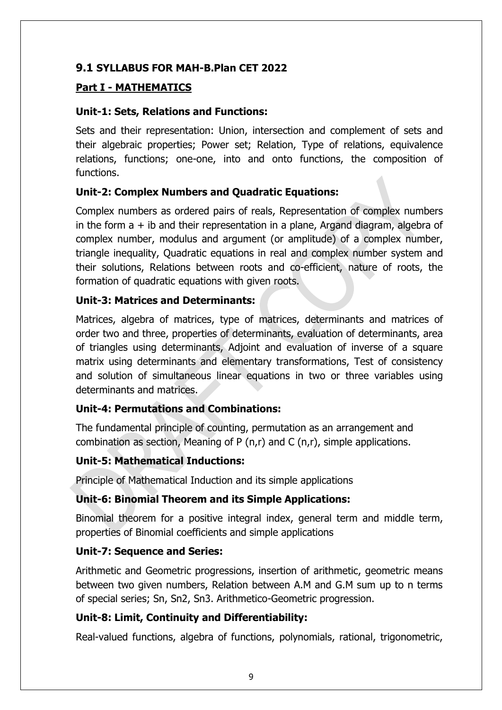## **9.1 SYLLABUS FOR MAH-B.Plan CET 2022**

### **Part I - MATHEMATICS**

## **Unit-1: Sets, Relations and Functions:**

Sets and their representation: Union, intersection and complement of sets and their algebraic properties; Power set; Relation, Type of relations, equivalence relations, functions; one-one, into and onto functions, the composition of functions.

## **Unit-2: Complex Numbers and Quadratic Equations:**

Complex numbers as ordered pairs of reals, Representation of complex numbers in the form  $a + ib$  and their representation in a plane, Argand diagram, algebra of complex number, modulus and argument (or amplitude) of a complex number, triangle inequality, Quadratic equations in real and complex number system and their solutions, Relations between roots and co-efficient, nature of roots, the formation of quadratic equations with given roots.

### **Unit-3: Matrices and Determinants:**

Matrices, algebra of matrices, type of matrices, determinants and matrices of order two and three, properties of determinants, evaluation of determinants, area of triangles using determinants, Adjoint and evaluation of inverse of a square matrix using determinants and elementary transformations, Test of consistency and solution of simultaneous linear equations in two or three variables using determinants and matrices.

## **Unit-4: Permutations and Combinations:**

The fundamental principle of counting, permutation as an arrangement and combination as section, Meaning of P (n,r) and C (n,r), simple applications.

#### **Unit-5: Mathematical Inductions:**

Principle of Mathematical Induction and its simple applications

## **Unit-6: Binomial Theorem and its Simple Applications:**

Binomial theorem for a positive integral index, general term and middle term, properties of Binomial coefficients and simple applications

## **Unit-7: Sequence and Series:**

Arithmetic and Geometric progressions, insertion of arithmetic, geometric means between two given numbers, Relation between A.M and G.M sum up to n terms of special series; Sn, Sn2, Sn3. Arithmetico-Geometric progression.

## **Unit-8: Limit, Continuity and Differentiability:**

Real-valued functions, algebra of functions, polynomials, rational, trigonometric,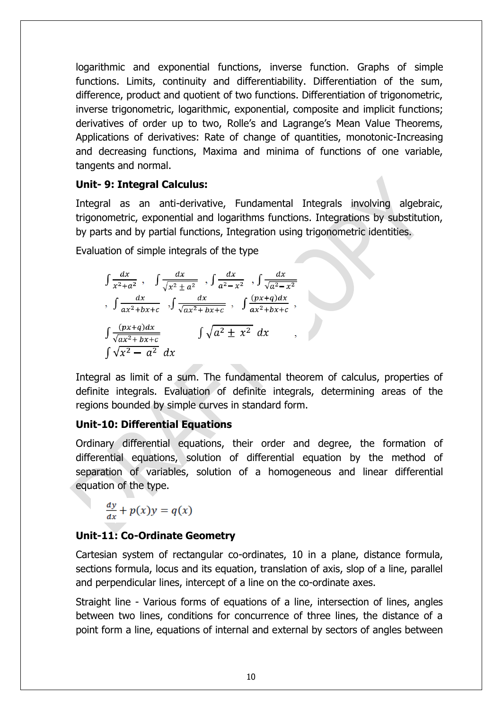logarithmic and exponential functions, inverse function. Graphs of simple functions. Limits, continuity and differentiability. Differentiation of the sum, difference, product and quotient of two functions. Differentiation of trigonometric, inverse trigonometric, logarithmic, exponential, composite and implicit functions; derivatives of order up to two, Rolle's and Lagrange's Mean Value Theorems, Applications of derivatives: Rate of change of quantities, monotonic-Increasing and decreasing functions, Maxima and minima of functions of one variable, tangents and normal.

## **Unit- 9: Integral Calculus:**

Integral as an anti-derivative, Fundamental Integrals involving algebraic, trigonometric, exponential and logarithms functions. Integrations by substitution, by parts and by partial functions, Integration using trigonometric identities.

Evaluation of simple integrals of the type

$$
\int \frac{dx}{x^2 + a^2}, \quad \int \frac{dx}{\sqrt{x^2 \pm a^2}}, \quad \int \frac{dx}{a^2 - x^2}, \quad \int \frac{dx}{\sqrt{a^2 - x^2}}
$$
\n
$$
\int \frac{dx}{ax^2 + bx + c}, \quad \int \frac{dx}{\sqrt{ax^2 + bx + c}}, \quad \int \frac{(px + q)dx}{ax^2 + bx + c},
$$
\n
$$
\int \frac{(px + q)dx}{\sqrt{ax^2 + bx + c}}
$$
\n
$$
\int \sqrt{a^2 \pm x^2} dx
$$

Integral as limit of a sum. The fundamental theorem of calculus, properties of definite integrals. Evaluation of definite integrals, determining areas of the regions bounded by simple curves in standard form.

## **Unit-10: Differential Equations**

Ordinary differential equations, their order and degree, the formation of differential equations, solution of differential equation by the method of separation of variables, solution of a homogeneous and linear differential equation of the type.

$$
\frac{dy}{dx} + p(x)y = q(x)
$$

## **Unit-11: Co-Ordinate Geometry**

Cartesian system of rectangular co-ordinates, 10 in a plane, distance formula, sections formula, locus and its equation, translation of axis, slop of a line, parallel and perpendicular lines, intercept of a line on the co-ordinate axes.

Straight line - Various forms of equations of a line, intersection of lines, angles between two lines, conditions for concurrence of three lines, the distance of a point form a line, equations of internal and external by sectors of angles between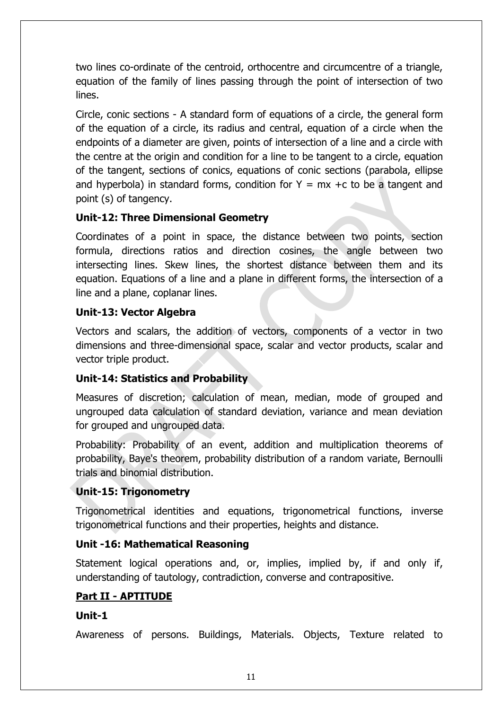two lines co-ordinate of the centroid, orthocentre and circumcentre of a triangle, equation of the family of lines passing through the point of intersection of two lines.

Circle, conic sections - A standard form of equations of a circle, the general form of the equation of a circle, its radius and central, equation of a circle when the endpoints of a diameter are given, points of intersection of a line and a circle with the centre at the origin and condition for a line to be tangent to a circle, equation of the tangent, sections of conics, equations of conic sections (parabola, ellipse and hyperbola) in standard forms, condition for  $Y = mx +c$  to be a tangent and point (s) of tangency.

### **Unit-12: Three Dimensional Geometry**

Coordinates of a point in space, the distance between two points, section formula, directions ratios and direction cosines, the angle between two intersecting lines. Skew lines, the shortest distance between them and its equation. Equations of a line and a plane in different forms, the intersection of a line and a plane, coplanar lines.

### **Unit-13: Vector Algebra**

Vectors and scalars, the addition of vectors, components of a vector in two dimensions and three-dimensional space, scalar and vector products, scalar and vector triple product.

## **Unit-14: Statistics and Probability**

Measures of discretion; calculation of mean, median, mode of grouped and ungrouped data calculation of standard deviation, variance and mean deviation for grouped and ungrouped data.

Probability: Probability of an event, addition and multiplication theorems of probability, Baye's theorem, probability distribution of a random variate, Bernoulli trials and binomial distribution.

## **Unit-15: Trigonometry**

Trigonometrical identities and equations, trigonometrical functions, inverse trigonometrical functions and their properties, heights and distance.

#### **Unit -16: Mathematical Reasoning**

Statement logical operations and, or, implies, implied by, if and only if, understanding of tautology, contradiction, converse and contrapositive.

## **Part II - APTITUDE**

#### **Unit-1**

Awareness of persons. Buildings, Materials. Objects, Texture related to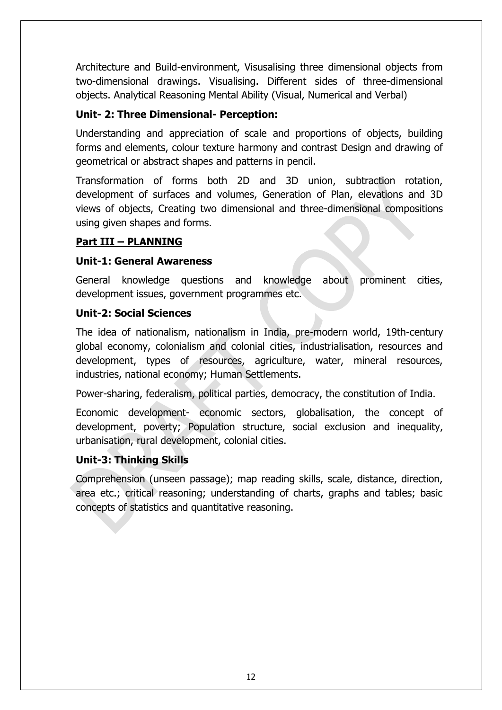Architecture and Build-environment, Visusalising three dimensional objects from two-dimensional drawings. Visualising. Different sides of three-dimensional objects. Analytical Reasoning Mental Ability (Visual, Numerical and Verbal)

## **Unit- 2: Three Dimensional- Perception:**

Understanding and appreciation of scale and proportions of objects, building forms and elements, colour texture harmony and contrast Design and drawing of geometrical or abstract shapes and patterns in pencil.

Transformation of forms both 2D and 3D union, subtraction rotation, development of surfaces and volumes, Generation of Plan, elevations and 3D views of objects, Creating two dimensional and three-dimensional compositions using given shapes and forms.

## **Part III – PLANNING**

#### **Unit-1: General Awareness**

General knowledge questions and knowledge about prominent cities, development issues, government programmes etc.

### **Unit-2: Social Sciences**

The idea of nationalism, nationalism in India, pre-modern world, 19th-century global economy, colonialism and colonial cities, industrialisation, resources and development, types of resources, agriculture, water, mineral resources, industries, national economy; Human Settlements.

Power-sharing, federalism, political parties, democracy, the constitution of India.

Economic development- economic sectors, globalisation, the concept of development, poverty; Population structure, social exclusion and inequality, urbanisation, rural development, colonial cities.

#### **Unit-3: Thinking Skills**

Comprehension (unseen passage); map reading skills, scale, distance, direction, area etc.; critical reasoning; understanding of charts, graphs and tables; basic concepts of statistics and quantitative reasoning.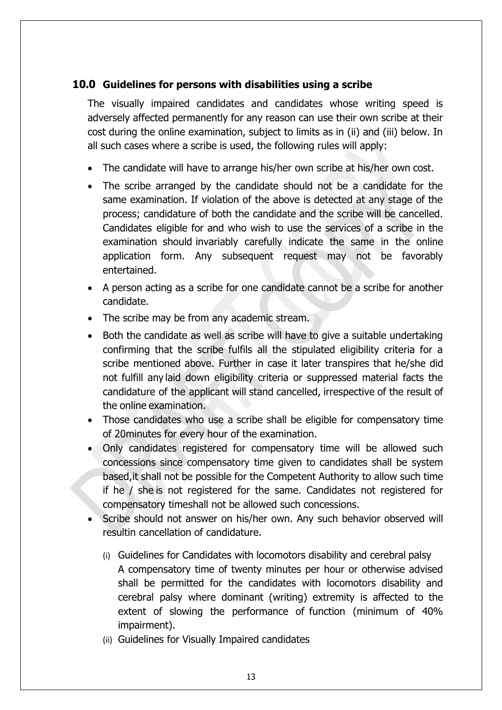## **10.0 Guidelines for persons with disabilities using a scribe**

The visually impaired candidates and candidates whose writing speed is adversely affected permanently for any reason can use their own scribe at their cost during the online examination, subject to limits as in (ii) and (iii) below. In all such cases where a scribe is used, the following rules will apply:

- The candidate will have to arrange his/her own scribe at his/her own cost.
- The scribe arranged by the candidate should not be a candidate for the same examination. If violation of the above is detected at any stage of the process; candidature of both the candidate and the scribe will be cancelled. Candidates eligible for and who wish to use the services of a scribe in the examination should invariably carefully indicate the same in the online application form. Any subsequent request may not be favorably entertained.
- A person acting as a scribe for one candidate cannot be a scribe for another candidate.
- The scribe may be from any academic stream.
- Both the candidate as well as scribe will have to give a suitable undertaking confirming that the scribe fulfils all the stipulated eligibility criteria for a scribe mentioned above. Further in case it later transpires that he/she did not fulfill any laid down eligibility criteria or suppressed material facts the candidature of the applicant will stand cancelled, irrespective of the result of the online examination.
- Those candidates who use a scribe shall be eligible for compensatory time of 20minutes for every hour of the examination.
- Only candidates registered for compensatory time will be allowed such concessions since compensatory time given to candidates shall be system based,it shall not be possible for the Competent Authority to allow such time if he / she is not registered for the same. Candidates not registered for compensatory timeshall not be allowed such concessions.
- Scribe should not answer on his/her own. Any such behavior observed will resultin cancellation of candidature.
	- (i) Guidelines for Candidates with locomotors disability and cerebral palsy A compensatory time of twenty minutes per hour or otherwise advised shall be permitted for the candidates with locomotors disability and cerebral palsy where dominant (writing) extremity is affected to the extent of slowing the performance of function (minimum of 40% impairment).
	- (ii) Guidelines for Visually Impaired candidates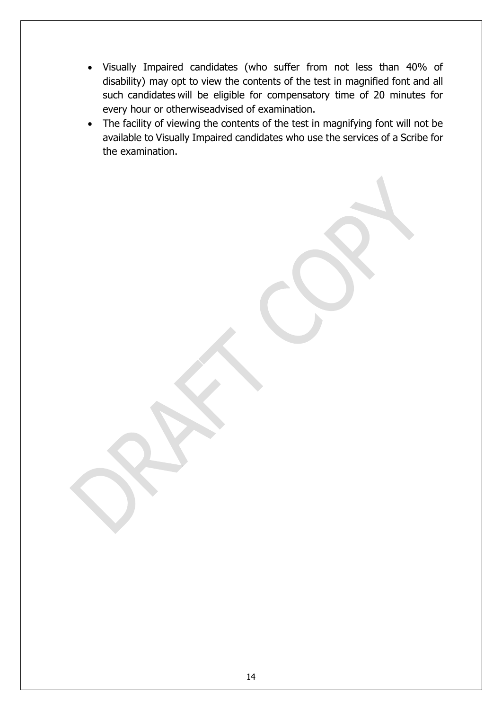- Visually Impaired candidates (who suffer from not less than 40% of disability) may opt to view the contents of the test in magnified font and all such candidates will be eligible for compensatory time of 20 minutes for every hour or otherwiseadvised of examination.
- The facility of viewing the contents of the test in magnifying font will not be available to Visually Impaired candidates who use the services of a Scribe for the examination.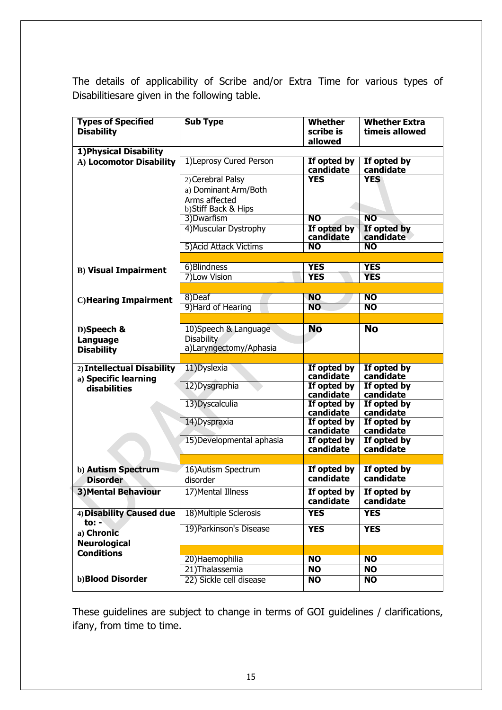The details of applicability of Scribe and/or Extra Time for various types of Disabilitiesare given in the following table.

| <b>Types of Specified</b>   | <b>Sub Type</b>           | <b>Whether</b>           | <b>Whether Extra</b>     |
|-----------------------------|---------------------------|--------------------------|--------------------------|
| <b>Disability</b>           |                           | scribe is                | timeis allowed           |
|                             |                           | allowed                  |                          |
| 1) Physical Disability      |                           |                          |                          |
| A) Locomotor Disability     | 1) Leprosy Cured Person   | If opted by<br>candidate | If opted by<br>candidate |
|                             | 2) Cerebral Palsy         | <b>YES</b>               | <b>YES</b>               |
|                             | a) Dominant Arm/Both      |                          |                          |
|                             | Arms affected             |                          |                          |
|                             | b) Stiff Back & Hips      |                          |                          |
|                             | 3) Dwarfism               | <b>NO</b>                | <b>NO</b>                |
|                             | 4) Muscular Dystrophy     | If opted by              | If opted by              |
|                             |                           | candidate                | candidate                |
|                             | 5) Acid Attack Victims    | $\overline{N}$           | <b>NO</b>                |
|                             |                           |                          |                          |
| <b>B) Visual Impairment</b> | 6)Blindness               | <b>YES</b>               | <b>YES</b>               |
|                             | 7)Low Vision              | <b>YES</b>               | <b>YES</b>               |
|                             |                           |                          |                          |
| <b>C)Hearing Impairment</b> | 8) Deaf                   | <b>NO</b>                | $\overline{N}$           |
|                             | 9) Hard of Hearing        | <b>NO</b>                | $\overline{N}$           |
|                             |                           |                          |                          |
| D)Speech &                  | 10)Speech & Language      | <b>No</b>                | <b>No</b>                |
| Language                    | <b>Disability</b>         |                          |                          |
| <b>Disability</b>           | a)Laryngectomy/Aphasia    |                          |                          |
|                             |                           |                          |                          |
| 2) Intellectual Disability  | 11) Dyslexia              | If opted by              | If opted by              |
| a) Specific learning        |                           | candidate                | candidate                |
| disabilities                | 12) Dysgraphia            | If opted by              | If opted by              |
|                             |                           | candidate                | candidate                |
|                             | 13) Dyscalculia           | If opted by<br>candidate | If opted by<br>candidate |
|                             | 14) Dyspraxia             | If opted by              | If opted by              |
|                             |                           | candidate                | candidate                |
|                             | 15) Developmental aphasia | If opted by              | If opted by              |
|                             |                           | candidate                | candidate                |
|                             |                           |                          |                          |
| b) Autism Spectrum          | 16) Autism Spectrum       | If opted by              | If opted by              |
| <b>Disorder</b>             | disorder                  | candidate                | candidate                |
| 3) Mental Behaviour         | 17) Mental Illness        | If opted by              | If opted by              |
|                             |                           | candidate                | candidate                |
| 4) Disability Caused due    | 18) Multiple Sclerosis    | <b>YES</b>               | <b>YES</b>               |
| $\mathsf{to}$ : -           |                           |                          |                          |
| a) Chronic                  | 19) Parkinson's Disease   | <b>YES</b>               | <b>YES</b>               |
| <b>Neurological</b>         |                           |                          |                          |
| <b>Conditions</b>           |                           |                          |                          |
|                             | 20) Haemophilia           | $\overline{N}$           | $\overline{N}$           |
|                             | 21) Thalassemia           | $\overline{NO}$          | <b>NO</b>                |
| b)Blood Disorder            | 22) Sickle cell disease   | <b>NO</b>                | $\overline{NO}$          |
|                             |                           |                          |                          |

These guidelines are subject to change in terms of GOI guidelines / clarifications, ifany, from time to time.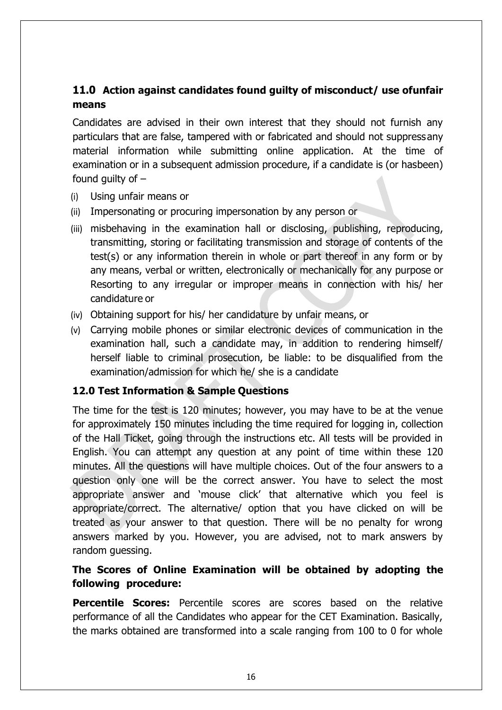## **11.0 Action against candidates found guilty of misconduct/ use ofunfair means**

Candidates are advised in their own interest that they should not furnish any particulars that are false, tampered with or fabricated and should not suppressany material information while submitting online application. At the time of examination or in a subsequent admission procedure, if a candidate is (or hasbeen) found guilty of  $-$ 

- (i) Using unfair means or
- (ii) Impersonating or procuring impersonation by any person or
- (iii) misbehaving in the examination hall or disclosing, publishing, reproducing, transmitting, storing or facilitating transmission and storage of contents of the test(s) or any information therein in whole or part thereof in any form or by any means, verbal or written, electronically or mechanically for any purpose or Resorting to any irregular or improper means in connection with his/ her candidature or
- (iv) Obtaining support for his/ her candidature by unfair means, or
- (v) Carrying mobile phones or similar electronic devices of communication in the examination hall, such a candidate may, in addition to rendering himself/ herself liable to criminal prosecution, be liable: to be disqualified from the examination/admission for which he/ she is a candidate

#### **12.0 Test Information & Sample Questions**

The time for the test is 120 minutes; however, you may have to be at the venue for approximately 150 minutes including the time required for logging in, collection of the Hall Ticket, going through the instructions etc. All tests will be provided in English. You can attempt any question at any point of time within these 120 minutes. All the questions will have multiple choices. Out of the four answers to a question only one will be the correct answer. You have to select the most appropriate answer and 'mouse click' that alternative which you feel is appropriate/correct. The alternative/ option that you have clicked on will be treated as your answer to that question. There will be no penalty for wrong answers marked by you. However, you are advised, not to mark answers by random guessing.

## **The Scores of Online Examination will be obtained by adopting the following procedure:**

**Percentile Scores:** Percentile scores are scores based on the relative performance of all the Candidates who appear for the CET Examination. Basically, the marks obtained are transformed into a scale ranging from 100 to 0 for whole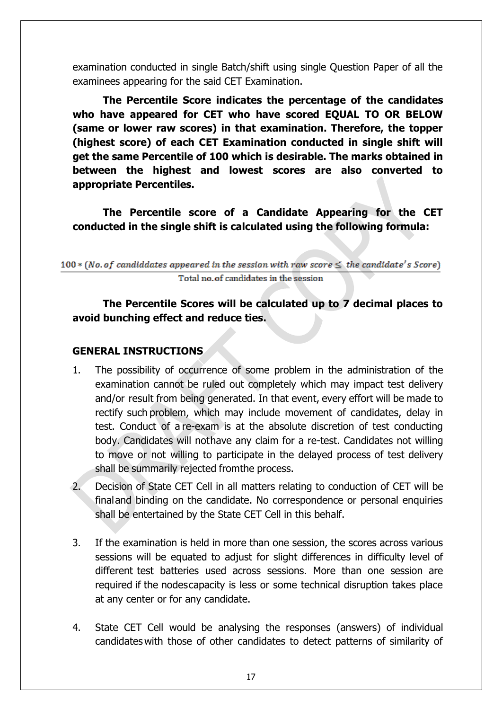examination conducted in single Batch/shift using single Question Paper of all the examinees appearing for the said CET Examination.

**The Percentile Score indicates the percentage of the candidates who have appeared for CET who have scored EQUAL TO OR BELOW (same or lower raw scores) in that examination. Therefore, the topper (highest score) of each CET Examination conducted in single shift will get the same Percentile of 100 which is desirable. The marks obtained in between the highest and lowest scores are also converted to appropriate Percentiles.**

**The Percentile score of a Candidate Appearing for the CET conducted in the single shift is calculated using the following formula:**

## **The Percentile Scores will be calculated up to 7 decimal places to avoid bunching effect and reduce ties.**

## **GENERAL INSTRUCTIONS**

- 1. The possibility of occurrence of some problem in the administration of the examination cannot be ruled out completely which may impact test delivery and/or result from being generated. In that event, every effort will be made to rectify such problem, which may include movement of candidates, delay in test. Conduct of a re-exam is at the absolute discretion of test conducting body. Candidates will nothave any claim for a re-test. Candidates not willing to move or not willing to participate in the delayed process of test delivery shall be summarily rejected fromthe process.
- 2. Decision of State CET Cell in all matters relating to conduction of CET will be finaland binding on the candidate. No correspondence or personal enquiries shall be entertained by the State CET Cell in this behalf.
- 3. If the examination is held in more than one session, the scores across various sessions will be equated to adjust for slight differences in difficulty level of different test batteries used across sessions. More than one session are required if the nodescapacity is less or some technical disruption takes place at any center or for any candidate.
- 4. State CET Cell would be analysing the responses (answers) of individual candidates with those of other candidates to detect patterns of similarity of

 $100 * (No. of candidates appeared in the session with raw score < the candidate's Score)$ Total no. of candidates in the session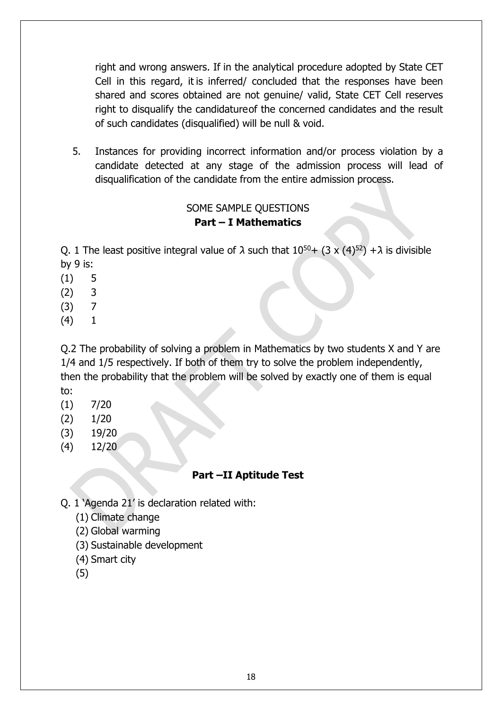right and wrong answers. If in the analytical procedure adopted by State CET Cell in this regard, it is inferred/ concluded that the responses have been shared and scores obtained are not genuine/ valid, State CET Cell reserves right to disqualify the candidatureof the concerned candidates and the result of such candidates (disqualified) will be null & void.

5. Instances for providing incorrect information and/or process violation by a candidate detected at any stage of the admission process will lead of disqualification of the candidate from the entire admission process.

## SOME SAMPLE QUESTIONS **Part – I Mathematics**

Q. 1 The least positive integral value of  $\lambda$  such that  $10^{50} + (3 \times (4)^{52}) + \lambda$  is divisible by 9 is:

- (1) 5
- (2) 3
- $(3) 7$
- $(4)$  1

Q.2 The probability of solving a problem in Mathematics by two students X and Y are 1/4 and 1/5 respectively. If both of them try to solve the problem independently, then the probability that the problem will be solved by exactly one of them is equal to:

- $(1)$  7/20
- $(2)$   $1/20$
- (3) 19/20
- $(4)$  12/20

## **Part –II Aptitude Test**

- Q. 1 'Agenda 21' is declaration related with:
	- (1) Climate change
	- (2) Global warming
	- (3) Sustainable development
	- (4) Smart city
	- (5)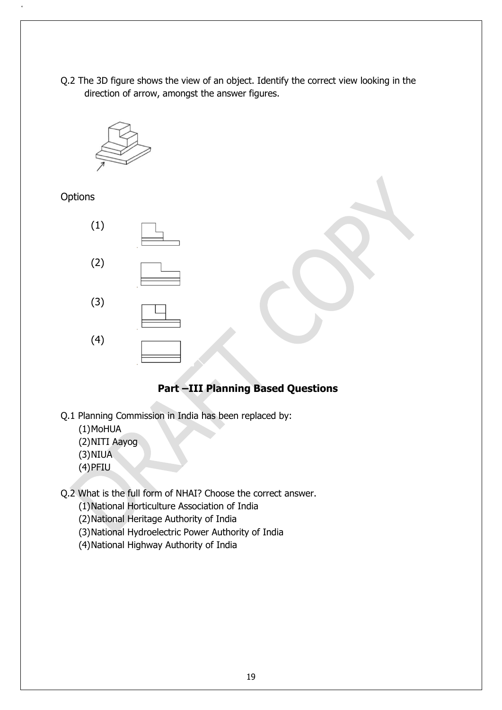Q.2 The 3D figure shows the view of an object. Identify the correct view looking in the direction of arrow, amongst the answer figures.



### **Options**





| (3) |   |  |  |
|-----|---|--|--|
|     | ٠ |  |  |
| (4) |   |  |  |

## **Part –III Planning Based Questions**

Q.1 Planning Commission in India has been replaced by:

(1)MoHUA (2)NITI Aayog  $(3)$ NIUA (4)PFIU

Q.2 What is the full form of NHAI? Choose the correct answer.

(1)National Horticulture Association of India

(2)National Heritage Authority of India

(3)National Hydroelectric Power Authority of India

(4)National Highway Authority of India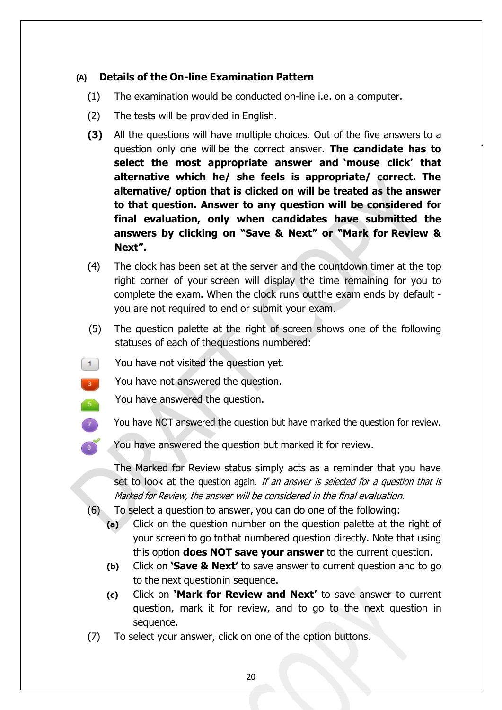## **(A) Details of the On-line Examination Pattern**

- (1) The examination would be conducted on-line i.e. on a computer.
- (2) The tests will be provided in English.
- **(3)** All the questions will have multiple choices. Out of the five answers to a question only one will be the correct answer. **The candidate has to select the most appropriate answer and 'mouse click' that alternative which he/ she feels is appropriate/ correct. The alternative/ option that is clicked on will be treated as the answer to that question. Answer to any question will be considered for final evaluation, only when candidates have submitted the answers by clicking on "Save & Next" or "Mark for Review & Next".**
- (4) The clock has been set at the server and the countdown timer at the top right corner of your screen will display the time remaining for you to complete the exam. When the clock runs outthe exam ends by default you are not required to end or submit your exam.
- (5) The question palette at the right of screen shows one of the following statuses of each of thequestions numbered:
- $1$ You have not visited the question yet.
- You have not answered the question.  $3<sup>1</sup>$
- You have answered the question.  $\sqrt{5}$
- You have NOT answered the question but have marked the question for review.  $(7)$
- You have answered the question but marked it for review.  $\circ$

The Marked for Review status simply acts as a reminder that you have set to look at the question again. If an answer is selected for a question that is Marked for Review, the answer will be considered in the final evaluation.

- (6) To select a question to answer, you can do one of the following:
	- **(a)** Click on the question number on the question palette at the right of your screen to go tothat numbered question directly. Note that using this option **does NOT save your answer** to the current question.
	- **(b)** Click on **'Save & Next'** to save answer to current question and to go to the next questionin sequence.
	- **(c)** Click on **'Mark for Review and Next'** to save answer to current question, mark it for review, and to go to the next question in sequence.
- (7) To select your answer, click on one of the option buttons.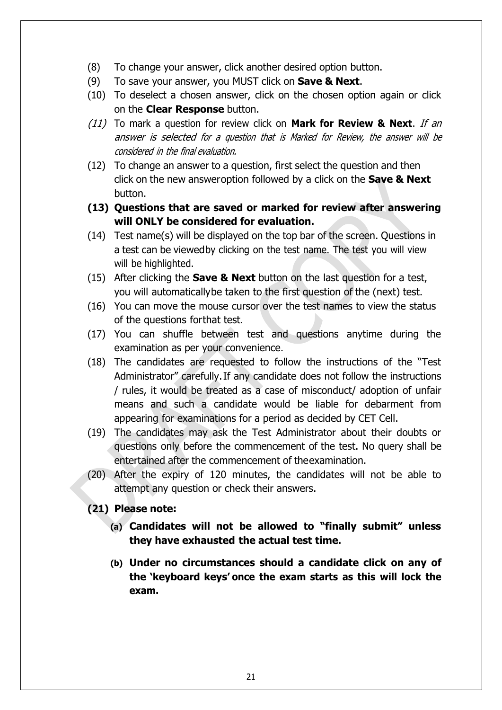- (8) To change your answer, click another desired option button.
- (9) To save your answer, you MUST click on **Save & Next**.
- (10) To deselect a chosen answer, click on the chosen option again or click on the **Clear Response** button.
- (11) To mark a question for review click on **Mark for Review & Next**. If an answer is selected for <sup>a</sup> question that is Marked for Review, the answer will be considered in the final evaluation.
- (12) To change an answer to a question, first select the question and then click on the new answeroption followed by a click on the **Save & Next** button.
- **(13) Questions that are saved or marked for review after answering will ONLY be considered for evaluation.**
- (14) Test name(s) will be displayed on the top bar of the screen. Questions in a test can be viewedby clicking on the test name. The test you will view will be highlighted.
- (15) After clicking the **Save & Next** button on the last question for a test, you will automaticallybe taken to the first question of the (next) test.
- (16) You can move the mouse cursor over the test names to view the status of the questions forthat test.
- (17) You can shuffle between test and questions anytime during the examination as per your convenience.
- (18) The candidates are requested to follow the instructions of the "Test Administrator" carefully.If any candidate does not follow the instructions / rules, it would be treated as a case of misconduct/ adoption of unfair means and such a candidate would be liable for debarment from appearing for examinations for a period as decided by CET Cell.
- (19) The candidates may ask the Test Administrator about their doubts or questions only before the commencement of the test. No query shall be entertained after the commencement of theexamination.
- (20) After the expiry of 120 minutes, the candidates will not be able to attempt any question or check their answers.
- **(21) Please note:**
	- **(a) Candidates will not be allowed to "finally submit" unless they have exhausted the actual test time.**
	- **(b) Under no circumstances should a candidate click on any of the 'keyboard keys' once the exam starts as this will lock the exam.**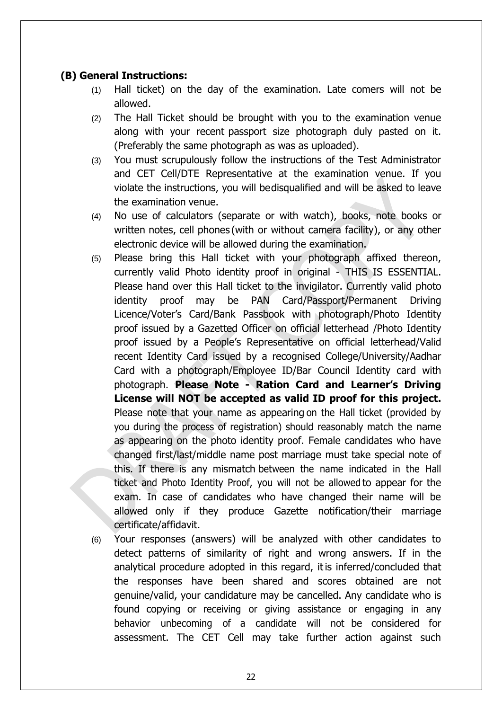## **(B) General Instructions:**

- (1) Hall ticket) on the day of the examination. Late comers will not be allowed.
- (2) The Hall Ticket should be brought with you to the examination venue along with your recent passport size photograph duly pasted on it. (Preferably the same photograph as was as uploaded).
- (3) You must scrupulously follow the instructions of the Test Administrator and CET Cell/DTE Representative at the examination venue. If you violate the instructions, you will bedisqualified and will be asked to leave the examination venue.
- (4) No use of calculators (separate or with watch), books, note books or written notes, cell phones (with or without camera facility), or any other electronic device will be allowed during the examination.
- (5) Please bring this Hall ticket with your photograph affixed thereon, currently valid Photo identity proof in original - THIS IS ESSENTIAL. Please hand over this Hall ticket to the invigilator. Currently valid photo identity proof may be PAN Card/Passport/Permanent Driving Licence/Voter's Card/Bank Passbook with photograph/Photo Identity proof issued by a Gazetted Officer on official letterhead /Photo Identity proof issued by a People's Representative on official letterhead/Valid recent Identity Card issued by a recognised College/University/Aadhar Card with a photograph/Employee ID/Bar Council Identity card with photograph. **Please Note - Ration Card and Learner's Driving License will NOT be accepted as valid ID proof for this project.** Please note that your name as appearing on the Hall ticket (provided by you during the process of registration) should reasonably match the name as appearing on the photo identity proof. Female candidates who have changed first/last/middle name post marriage must take special note of this. If there is any mismatch between the name indicated in the Hall ticket and Photo Identity Proof, you will not be allowed to appear for the exam. In case of candidates who have changed their name will be allowed only if they produce Gazette notification/their marriage certificate/affidavit.
- (6) Your responses (answers) will be analyzed with other candidates to detect patterns of similarity of right and wrong answers. If in the analytical procedure adopted in this regard, it is inferred/concluded that the responses have been shared and scores obtained are not genuine/valid, your candidature may be cancelled. Any candidate who is found copying or receiving or giving assistance or engaging in any behavior unbecoming of a candidate will not be considered for assessment. The CET Cell may take further action against such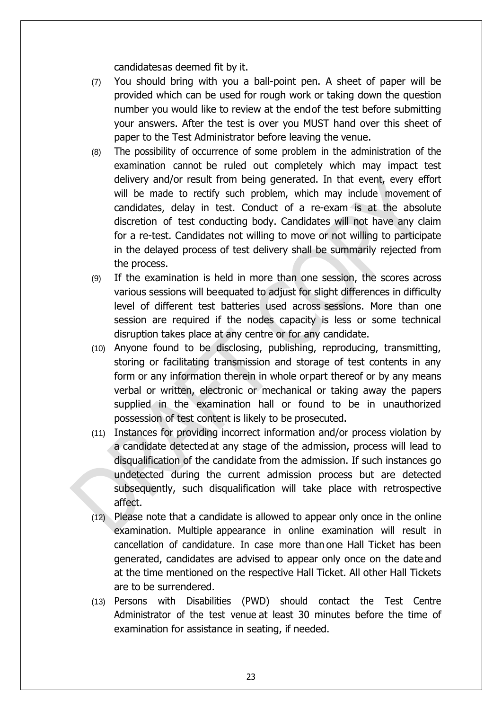candidatesas deemed fit by it.

- (7) You should bring with you a ball-point pen. A sheet of paper will be provided which can be used for rough work or taking down the question number you would like to review at the endof the test before submitting your answers. After the test is over you MUST hand over this sheet of paper to the Test Administrator before leaving the venue.
- (8) The possibility of occurrence of some problem in the administration of the examination cannot be ruled out completely which may impact test delivery and/or result from being generated. In that event, every effort will be made to rectify such problem, which may include movement of candidates, delay in test. Conduct of a re-exam is at the absolute discretion of test conducting body. Candidates will not have any claim for a re-test. Candidates not willing to move or not willing to participate in the delayed process of test delivery shall be summarily rejected from the process.
- (9) If the examination is held in more than one session, the scores across various sessions will beequated to adjust for slight differences in difficulty level of different test batteries used across sessions. More than one session are required if the nodes capacity is less or some technical disruption takes place at any centre or for any candidate.
- (10) Anyone found to be disclosing, publishing, reproducing, transmitting, storing or facilitating transmission and storage of test contents in any form or any information therein in whole orpart thereof or by any means verbal or written, electronic or mechanical or taking away the papers supplied in the examination hall or found to be in unauthorized possession of test content is likely to be prosecuted.
- (11) Instances for providing incorrect information and/or process violation by a candidate detected at any stage of the admission, process will lead to disqualification of the candidate from the admission. If such instances go undetected during the current admission process but are detected subsequently, such disqualification will take place with retrospective affect.
- (12) Please note that a candidate is allowed to appear only once in the online examination. Multiple appearance in online examination will result in cancellation of candidature. In case more than one Hall Ticket has been generated, candidates are advised to appear only once on the date and at the time mentioned on the respective Hall Ticket. All other Hall Tickets are to be surrendered.
- (13) Persons with Disabilities (PWD) should contact the Test Centre Administrator of the test venue at least 30 minutes before the time of examination for assistance in seating, if needed.